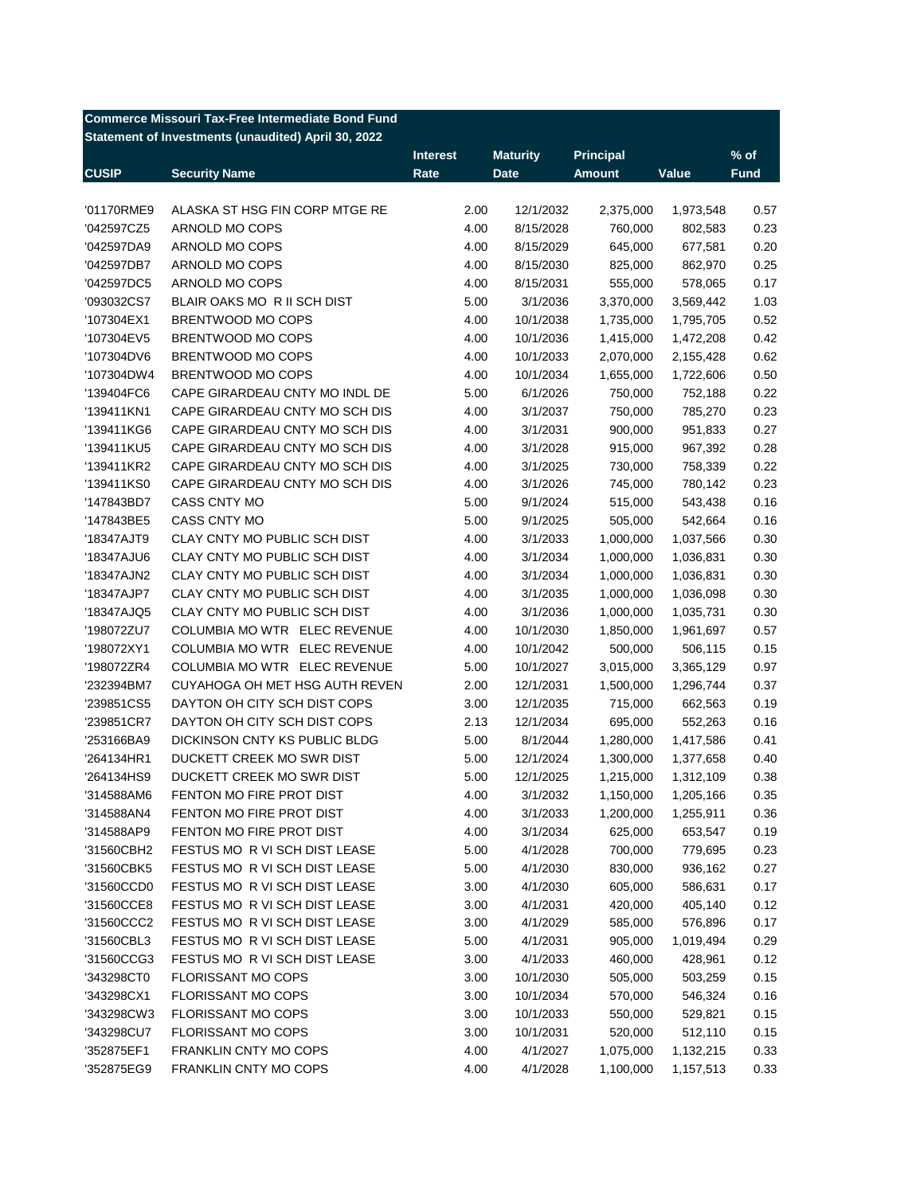|              | <b>Commerce Missouri Tax-Free Intermediate Bond Fund</b> |                 |                 |                  |           |             |
|--------------|----------------------------------------------------------|-----------------|-----------------|------------------|-----------|-------------|
|              | Statement of Investments (unaudited) April 30, 2022      |                 |                 |                  |           |             |
|              |                                                          | <b>Interest</b> | <b>Maturity</b> | <b>Principal</b> |           | $%$ of      |
| <b>CUSIP</b> | <b>Security Name</b>                                     | Rate            | <b>Date</b>     | <b>Amount</b>    | Value     | <b>Fund</b> |
|              |                                                          |                 |                 |                  |           |             |
| '01170RME9   | ALASKA ST HSG FIN CORP MTGE RE                           | 2.00<br>4.00    | 12/1/2032       | 2,375,000        | 1,973,548 | 0.57        |
| '042597CZ5   | ARNOLD MO COPS                                           |                 | 8/15/2028       | 760,000          | 802,583   | 0.23        |
| '042597DA9   | ARNOLD MO COPS                                           | 4.00            | 8/15/2029       | 645,000          | 677,581   | 0.20        |
| '042597DB7   | ARNOLD MO COPS                                           | 4.00            | 8/15/2030       | 825,000          | 862,970   | 0.25        |
| '042597DC5   | ARNOLD MO COPS                                           | 4.00            | 8/15/2031       | 555,000          | 578,065   | 0.17        |
| '093032CS7   | BLAIR OAKS MO R II SCH DIST                              | 5.00            | 3/1/2036        | 3,370,000        | 3,569,442 | 1.03        |
| '107304EX1   | BRENTWOOD MO COPS                                        | 4.00            | 10/1/2038       | 1,735,000        | 1,795,705 | 0.52        |
| '107304EV5   | BRENTWOOD MO COPS                                        | 4.00            | 10/1/2036       | 1,415,000        | 1,472,208 | 0.42        |
| '107304DV6   | BRENTWOOD MO COPS                                        | 4.00            | 10/1/2033       | 2,070,000        | 2,155,428 | 0.62        |
| '107304DW4   | BRENTWOOD MO COPS                                        | 4.00            | 10/1/2034       | 1,655,000        | 1,722,606 | 0.50        |
| '139404FC6   | CAPE GIRARDEAU CNTY MO INDL DE                           | 5.00            | 6/1/2026        | 750,000          | 752,188   | 0.22        |
| '139411KN1   | CAPE GIRARDEAU CNTY MO SCH DIS                           | 4.00            | 3/1/2037        | 750,000          | 785,270   | 0.23        |
| '139411KG6   | CAPE GIRARDEAU CNTY MO SCH DIS                           | 4.00            | 3/1/2031        | 900,000          | 951,833   | 0.27        |
| '139411KU5   | CAPE GIRARDEAU CNTY MO SCH DIS                           | 4.00            | 3/1/2028        | 915,000          | 967,392   | 0.28        |
| '139411KR2   | CAPE GIRARDEAU CNTY MO SCH DIS                           | 4.00            | 3/1/2025        | 730,000          | 758,339   | 0.22        |
| '139411KS0   | CAPE GIRARDEAU CNTY MO SCH DIS                           | 4.00            | 3/1/2026        | 745,000          | 780,142   | 0.23        |
| '147843BD7   | <b>CASS CNTY MO</b>                                      | 5.00            | 9/1/2024        | 515,000          | 543,438   | 0.16        |
| '147843BE5   | <b>CASS CNTY MO</b>                                      | 5.00            | 9/1/2025        | 505,000          | 542,664   | 0.16        |
| '18347AJT9   | CLAY CNTY MO PUBLIC SCH DIST                             | 4.00            | 3/1/2033        | 1,000,000        | 1,037,566 | 0.30        |
| '18347AJU6   | CLAY CNTY MO PUBLIC SCH DIST                             | 4.00            | 3/1/2034        | 1,000,000        | 1,036,831 | 0.30        |
| '18347AJN2   | CLAY CNTY MO PUBLIC SCH DIST                             | 4.00            | 3/1/2034        | 1,000,000        | 1,036,831 | 0.30        |
| '18347AJP7   | CLAY CNTY MO PUBLIC SCH DIST                             | 4.00            | 3/1/2035        | 1,000,000        | 1,036,098 | 0.30        |
| '18347AJQ5   | CLAY CNTY MO PUBLIC SCH DIST                             | 4.00            | 3/1/2036        | 1,000,000        | 1,035,731 | 0.30        |
| '198072ZU7   | COLUMBIA MO WTR ELEC REVENUE                             | 4.00            | 10/1/2030       | 1,850,000        | 1,961,697 | 0.57        |
| '198072XY1   | COLUMBIA MO WTR ELEC REVENUE                             | 4.00            | 10/1/2042       | 500,000          | 506,115   | 0.15        |
| '198072ZR4   | COLUMBIA MO WTR ELEC REVENUE                             | 5.00            | 10/1/2027       | 3,015,000        | 3,365,129 | 0.97        |
| '232394BM7   | CUYAHOGA OH MET HSG AUTH REVEN                           | 2.00            | 12/1/2031       | 1,500,000        | 1,296,744 | 0.37        |
| '239851CS5   | DAYTON OH CITY SCH DIST COPS                             | 3.00            | 12/1/2035       | 715,000          | 662,563   | 0.19        |
| '239851CR7   | DAYTON OH CITY SCH DIST COPS                             | 2.13            | 12/1/2034       | 695,000          | 552,263   | 0.16        |
| '253166BA9   | DICKINSON CNTY KS PUBLIC BLDG                            | 5.00            | 8/1/2044        | 1,280,000        | 1,417,586 | 0.41        |
| '264134HR1   | DUCKETT CREEK MO SWR DIST                                | 5.00            | 12/1/2024       | 1,300,000        | 1,377,658 | 0.40        |
| '264134HS9   | DUCKETT CREEK MO SWR DIST                                | 5.00            | 12/1/2025       | 1,215,000        | 1,312,109 | 0.38        |
| '314588AM6   | FENTON MO FIRE PROT DIST                                 | 4.00            | 3/1/2032        | 1,150,000        | 1,205,166 | 0.35        |
| '314588AN4   | FENTON MO FIRE PROT DIST                                 | 4.00            | 3/1/2033        | 1,200,000        | 1,255,911 | 0.36        |
| '314588AP9   | FENTON MO FIRE PROT DIST                                 | 4.00            | 3/1/2034        | 625,000          | 653,547   | 0.19        |
| '31560CBH2   | FESTUS MO R VI SCH DIST LEASE                            | 5.00            | 4/1/2028        | 700,000          | 779,695   | 0.23        |
| '31560CBK5   | FESTUS MO R VI SCH DIST LEASE                            | 5.00            | 4/1/2030        | 830,000          | 936,162   | 0.27        |
| '31560CCD0   | FESTUS MO R VI SCH DIST LEASE                            | 3.00            | 4/1/2030        | 605,000          | 586,631   | 0.17        |
| '31560CCE8   | FESTUS MO R VI SCH DIST LEASE                            | 3.00            | 4/1/2031        | 420,000          | 405,140   | 0.12        |
| '31560CCC2   | FESTUS MO R VI SCH DIST LEASE                            | 3.00            | 4/1/2029        | 585,000          | 576,896   | 0.17        |
| '31560CBL3   | FESTUS MO R VI SCH DIST LEASE                            | 5.00            | 4/1/2031        | 905,000          | 1,019,494 | 0.29        |
| '31560CCG3   | FESTUS MO R VI SCH DIST LEASE                            | 3.00            | 4/1/2033        | 460,000          | 428,961   | 0.12        |
| '343298CT0   | FLORISSANT MO COPS                                       | 3.00            | 10/1/2030       | 505,000          | 503,259   | 0.15        |
| '343298CX1   | FLORISSANT MO COPS                                       | 3.00            | 10/1/2034       | 570,000          | 546,324   | 0.16        |
| '343298CW3   | FLORISSANT MO COPS                                       | 3.00            | 10/1/2033       | 550,000          | 529,821   | 0.15        |
| '343298CU7   | FLORISSANT MO COPS                                       | 3.00            | 10/1/2031       | 520,000          | 512,110   | 0.15        |
| '352875EF1   | FRANKLIN CNTY MO COPS                                    | 4.00            | 4/1/2027        | 1,075,000        | 1,132,215 | 0.33        |
| '352875EG9   | FRANKLIN CNTY MO COPS                                    | 4.00            | 4/1/2028        | 1,100,000        | 1,157,513 | 0.33        |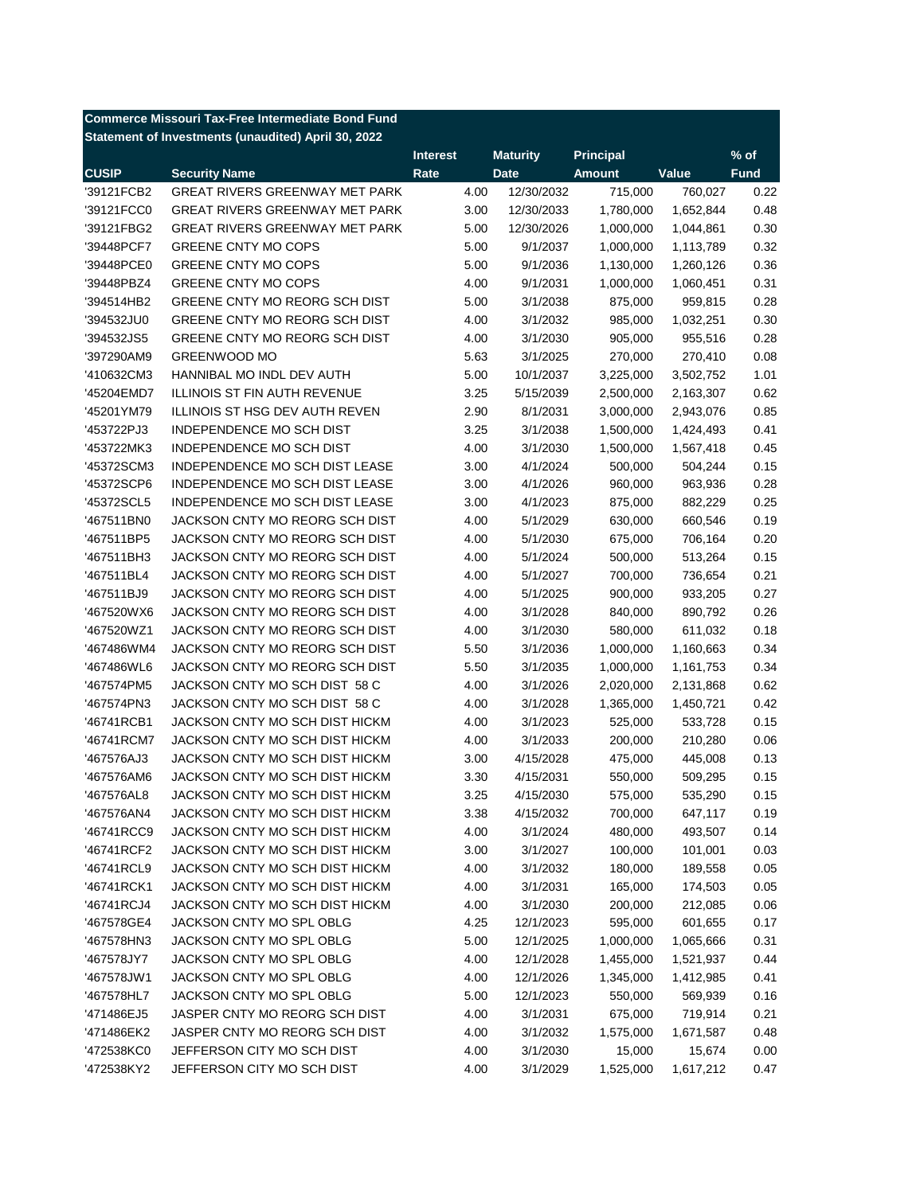|              | <b>Commerce Missouri Tax-Free Intermediate Bond Fund</b> |                 |                 |               |           |             |
|--------------|----------------------------------------------------------|-----------------|-----------------|---------------|-----------|-------------|
|              | Statement of Investments (unaudited) April 30, 2022      |                 |                 |               |           |             |
|              |                                                          | <b>Interest</b> | <b>Maturity</b> | Principal     |           | $%$ of      |
| <b>CUSIP</b> | <b>Security Name</b>                                     | Rate            | <b>Date</b>     | <b>Amount</b> | Value     | <b>Fund</b> |
| '39121FCB2   | <b>GREAT RIVERS GREENWAY MET PARK</b>                    | 4.00            | 12/30/2032      | 715,000       | 760,027   | 0.22        |
| '39121FCC0   | <b>GREAT RIVERS GREENWAY MET PARK</b>                    | 3.00            | 12/30/2033      | 1,780,000     | 1,652,844 | 0.48        |
| '39121FBG2   | <b>GREAT RIVERS GREENWAY MET PARK</b>                    | 5.00            | 12/30/2026      | 1,000,000     | 1,044,861 | 0.30        |
| '39448PCF7   | GREENE CNTY MO COPS                                      | 5.00            | 9/1/2037        | 1,000,000     | 1,113,789 | 0.32        |
| '39448PCE0   | <b>GREENE CNTY MO COPS</b>                               | 5.00            | 9/1/2036        | 1,130,000     | 1,260,126 | 0.36        |
| '39448PBZ4   | <b>GREENE CNTY MO COPS</b>                               | 4.00            | 9/1/2031        | 1,000,000     | 1,060,451 | 0.31        |
| '394514HB2   | GREENE CNTY MO REORG SCH DIST                            | 5.00            | 3/1/2038        | 875,000       | 959,815   | 0.28        |
| '394532JU0   | GREENE CNTY MO REORG SCH DIST                            | 4.00            | 3/1/2032        | 985,000       | 1,032,251 | 0.30        |
| '394532JS5   | GREENE CNTY MO REORG SCH DIST                            | 4.00            | 3/1/2030        | 905,000       | 955,516   | 0.28        |
| '397290AM9   | <b>GREENWOOD MO</b>                                      | 5.63            | 3/1/2025        | 270,000       | 270,410   | 0.08        |
| '410632CM3   | HANNIBAL MO INDL DEV AUTH                                | 5.00            | 10/1/2037       | 3,225,000     | 3,502,752 | 1.01        |
| '45204EMD7   | <b>ILLINOIS ST FIN AUTH REVENUE</b>                      | 3.25            | 5/15/2039       | 2,500,000     | 2,163,307 | 0.62        |
| '45201YM79   | <b>ILLINOIS ST HSG DEV AUTH REVEN</b>                    | 2.90            | 8/1/2031        | 3,000,000     | 2,943,076 | 0.85        |
| '453722PJ3   | INDEPENDENCE MO SCH DIST                                 | 3.25            | 3/1/2038        | 1,500,000     | 1,424,493 | 0.41        |
| '453722MK3   | INDEPENDENCE MO SCH DIST                                 | 4.00            | 3/1/2030        | 1,500,000     | 1,567,418 | 0.45        |
| '45372SCM3   | <b>INDEPENDENCE MO SCH DIST LEASE</b>                    | 3.00            | 4/1/2024        | 500,000       | 504,244   | 0.15        |
| '45372SCP6   | <b>INDEPENDENCE MO SCH DIST LEASE</b>                    | 3.00            | 4/1/2026        | 960,000       | 963,936   | 0.28        |
| '45372SCL5   | INDEPENDENCE MO SCH DIST LEASE                           | 3.00            | 4/1/2023        | 875,000       | 882,229   | 0.25        |
| '467511BN0   | JACKSON CNTY MO REORG SCH DIST                           | 4.00            | 5/1/2029        | 630,000       | 660,546   | 0.19        |
| '467511BP5   | JACKSON CNTY MO REORG SCH DIST                           | 4.00            | 5/1/2030        | 675,000       | 706,164   | 0.20        |
| '467511BH3   | JACKSON CNTY MO REORG SCH DIST                           | 4.00            | 5/1/2024        | 500,000       | 513,264   | 0.15        |
| '467511BL4   | JACKSON CNTY MO REORG SCH DIST                           | 4.00            | 5/1/2027        | 700,000       | 736,654   | 0.21        |
| '467511BJ9   | JACKSON CNTY MO REORG SCH DIST                           | 4.00            | 5/1/2025        | 900,000       | 933,205   | 0.27        |
| '467520WX6   | JACKSON CNTY MO REORG SCH DIST                           | 4.00            | 3/1/2028        | 840,000       | 890,792   | 0.26        |
| '467520WZ1   | JACKSON CNTY MO REORG SCH DIST                           | 4.00            | 3/1/2030        | 580,000       | 611,032   | 0.18        |
| '467486WM4   | JACKSON CNTY MO REORG SCH DIST                           | 5.50            | 3/1/2036        | 1,000,000     | 1,160,663 | 0.34        |
| '467486WL6   | JACKSON CNTY MO REORG SCH DIST                           | 5.50            | 3/1/2035        | 1,000,000     | 1,161,753 | 0.34        |
| '467574PM5   | JACKSON CNTY MO SCH DIST 58 C                            | 4.00            | 3/1/2026        | 2,020,000     | 2,131,868 | 0.62        |
| '467574PN3   | JACKSON CNTY MO SCH DIST 58 C                            | 4.00            | 3/1/2028        | 1,365,000     | 1,450,721 | 0.42        |
| '46741RCB1   | JACKSON CNTY MO SCH DIST HICKM                           | 4.00            | 3/1/2023        | 525,000       | 533,728   | 0.15        |
| '46741RCM7   | JACKSON CNTY MO SCH DIST HICKM                           | 4.00            | 3/1/2033        | 200,000       | 210,280   | 0.06        |
| '467576AJ3   | JACKSON CNTY MO SCH DIST HICKM                           | 3.00            | 4/15/2028       | 475,000       | 445,008   | 0.13        |
| '467576AM6   | JACKSON CNTY MO SCH DIST HICKM                           | 3.30            | 4/15/2031       | 550,000       | 509,295   | 0.15        |
| '467576AL8   | JACKSON CNTY MO SCH DIST HICKM                           | 3.25            | 4/15/2030       | 575,000       | 535,290   | 0.15        |
| '467576AN4   | JACKSON CNTY MO SCH DIST HICKM                           | 3.38            | 4/15/2032       | 700,000       | 647,117   | 0.19        |
| '46741RCC9   | JACKSON CNTY MO SCH DIST HICKM                           | 4.00            | 3/1/2024        | 480,000       | 493,507   | 0.14        |
| '46741RCF2   | JACKSON CNTY MO SCH DIST HICKM                           | 3.00            | 3/1/2027        | 100,000       | 101,001   | 0.03        |
| '46741RCL9   | JACKSON CNTY MO SCH DIST HICKM                           | 4.00            | 3/1/2032        | 180,000       | 189,558   | 0.05        |
| '46741RCK1   | JACKSON CNTY MO SCH DIST HICKM                           | 4.00            | 3/1/2031        | 165,000       | 174,503   | 0.05        |
| '46741RCJ4   | JACKSON CNTY MO SCH DIST HICKM                           | 4.00            | 3/1/2030        | 200,000       | 212,085   | 0.06        |
| '467578GE4   | JACKSON CNTY MO SPL OBLG                                 | 4.25            | 12/1/2023       | 595,000       | 601,655   | 0.17        |
| '467578HN3   | JACKSON CNTY MO SPL OBLG                                 | 5.00            | 12/1/2025       | 1,000,000     | 1,065,666 | 0.31        |
| '467578JY7   | JACKSON CNTY MO SPL OBLG                                 | 4.00            | 12/1/2028       | 1,455,000     | 1,521,937 | 0.44        |
| '467578JW1   | JACKSON CNTY MO SPL OBLG                                 | 4.00            | 12/1/2026       | 1,345,000     | 1,412,985 | 0.41        |
| '467578HL7   | JACKSON CNTY MO SPL OBLG                                 | 5.00            | 12/1/2023       | 550,000       | 569,939   | 0.16        |
| '471486EJ5   | JASPER CNTY MO REORG SCH DIST                            | 4.00            | 3/1/2031        | 675,000       | 719,914   | 0.21        |
| '471486EK2   | JASPER CNTY MO REORG SCH DIST                            | 4.00            | 3/1/2032        | 1,575,000     | 1,671,587 | 0.48        |
| '472538KC0   | JEFFERSON CITY MO SCH DIST                               | 4.00            | 3/1/2030        | 15,000        | 15,674    | 0.00        |
| '472538KY2   | JEFFERSON CITY MO SCH DIST                               | 4.00            | 3/1/2029        | 1,525,000     | 1,617,212 | 0.47        |
|              |                                                          |                 |                 |               |           |             |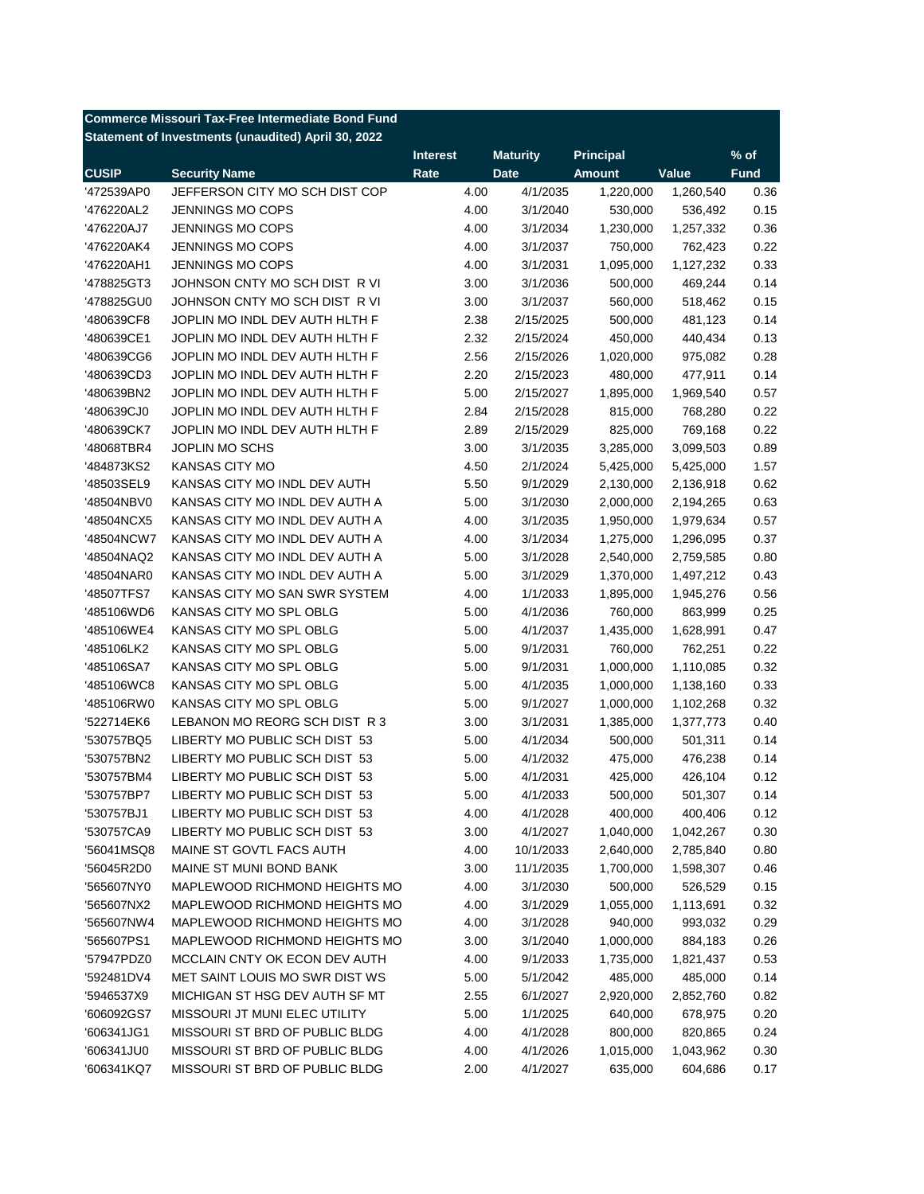|              | <b>Commerce Missouri Tax-Free Intermediate Bond Fund</b> |                 |                 |               |           |             |
|--------------|----------------------------------------------------------|-----------------|-----------------|---------------|-----------|-------------|
|              | Statement of Investments (unaudited) April 30, 2022      |                 |                 |               |           |             |
|              |                                                          | <b>Interest</b> | <b>Maturity</b> | Principal     |           | $%$ of      |
| <b>CUSIP</b> | <b>Security Name</b>                                     | Rate            | <b>Date</b>     | <b>Amount</b> | Value     | <b>Fund</b> |
| '472539AP0   | JEFFERSON CITY MO SCH DIST COP                           | 4.00            | 4/1/2035        | 1,220,000     | 1,260,540 | 0.36        |
| '476220AL2   | <b>JENNINGS MO COPS</b>                                  | 4.00            | 3/1/2040        | 530,000       | 536,492   | 0.15        |
| '476220AJ7   | <b>JENNINGS MO COPS</b>                                  | 4.00            | 3/1/2034        | 1,230,000     | 1,257,332 | 0.36        |
| '476220AK4   | <b>JENNINGS MO COPS</b>                                  | 4.00            | 3/1/2037        | 750,000       | 762,423   | 0.22        |
| '476220AH1   | <b>JENNINGS MO COPS</b>                                  | 4.00            | 3/1/2031        | 1,095,000     | 1,127,232 | 0.33        |
| '478825GT3   | JOHNSON CNTY MO SCH DIST R VI                            | 3.00            | 3/1/2036        | 500,000       | 469,244   | 0.14        |
| '478825GU0   | JOHNSON CNTY MO SCH DIST R VI                            | 3.00            | 3/1/2037        | 560,000       | 518,462   | 0.15        |
| '480639CF8   | JOPLIN MO INDL DEV AUTH HLTH F                           | 2.38            | 2/15/2025       | 500,000       | 481,123   | 0.14        |
| '480639CE1   | JOPLIN MO INDL DEV AUTH HLTH F                           | 2.32            | 2/15/2024       | 450,000       | 440,434   | 0.13        |
| '480639CG6   | JOPLIN MO INDL DEV AUTH HLTH F                           | 2.56            | 2/15/2026       | 1,020,000     | 975,082   | 0.28        |
| '480639CD3   | JOPLIN MO INDL DEV AUTH HLTH F                           | 2.20            | 2/15/2023       | 480,000       | 477,911   | 0.14        |
| '480639BN2   | JOPLIN MO INDL DEV AUTH HLTH F                           | 5.00            | 2/15/2027       | 1,895,000     | 1,969,540 | 0.57        |
| '480639CJ0   | JOPLIN MO INDL DEV AUTH HLTH F                           | 2.84            | 2/15/2028       | 815,000       | 768,280   | 0.22        |
| '480639CK7   | JOPLIN MO INDL DEV AUTH HLTH F                           | 2.89            | 2/15/2029       | 825,000       | 769,168   | 0.22        |
| '48068TBR4   | JOPLIN MO SCHS                                           | 3.00            | 3/1/2035        | 3,285,000     | 3,099,503 | 0.89        |
| '484873KS2   | <b>KANSAS CITY MO</b>                                    | 4.50            | 2/1/2024        | 5,425,000     | 5,425,000 | 1.57        |
| '48503SEL9   | KANSAS CITY MO INDL DEV AUTH                             | 5.50            | 9/1/2029        | 2,130,000     | 2,136,918 | 0.62        |
| '48504NBV0   | KANSAS CITY MO INDL DEV AUTH A                           | 5.00            | 3/1/2030        | 2,000,000     | 2,194,265 | 0.63        |
| '48504NCX5   | KANSAS CITY MO INDL DEV AUTH A                           | 4.00            | 3/1/2035        | 1,950,000     | 1,979,634 | 0.57        |
| '48504NCW7   | KANSAS CITY MO INDL DEV AUTH A                           | 4.00            | 3/1/2034        | 1,275,000     | 1,296,095 | 0.37        |
| '48504NAQ2   | KANSAS CITY MO INDL DEV AUTH A                           | 5.00            | 3/1/2028        | 2,540,000     | 2,759,585 | 0.80        |
| '48504NAR0   | KANSAS CITY MO INDL DEV AUTH A                           | 5.00            | 3/1/2029        | 1,370,000     | 1,497,212 | 0.43        |
| '48507TFS7   | KANSAS CITY MO SAN SWR SYSTEM                            | 4.00            | 1/1/2033        | 1,895,000     | 1,945,276 | 0.56        |
| '485106WD6   | KANSAS CITY MO SPL OBLG                                  | 5.00            | 4/1/2036        | 760,000       | 863,999   | 0.25        |
| '485106WE4   | KANSAS CITY MO SPL OBLG                                  | 5.00            | 4/1/2037        | 1,435,000     | 1,628,991 | 0.47        |
| '485106LK2   | KANSAS CITY MO SPL OBLG                                  | 5.00            | 9/1/2031        | 760,000       | 762,251   | 0.22        |
| '485106SA7   | KANSAS CITY MO SPL OBLG                                  | 5.00            | 9/1/2031        | 1,000,000     | 1,110,085 | 0.32        |
| '485106WC8   | KANSAS CITY MO SPL OBLG                                  | 5.00            | 4/1/2035        | 1,000,000     | 1,138,160 | 0.33        |
| '485106RW0   | KANSAS CITY MO SPL OBLG                                  | 5.00            | 9/1/2027        | 1,000,000     | 1,102,268 | 0.32        |
| '522714EK6   | LEBANON MO REORG SCH DIST R 3                            | 3.00            | 3/1/2031        | 1,385,000     | 1,377,773 | 0.40        |
| '530757BQ5   | LIBERTY MO PUBLIC SCH DIST 53                            | 5.00            | 4/1/2034        | 500,000       | 501,311   | 0.14        |
| '530757BN2   | LIBERTY MO PUBLIC SCH DIST 53                            | 5.00            | 4/1/2032        |               |           | 0.14        |
|              |                                                          |                 |                 | 475,000       | 476,238   |             |
| '530757BM4   | LIBERTY MO PUBLIC SCH DIST 53                            | 5.00            | 4/1/2031        | 425,000       | 426,104   | 0.12        |
| '530757BP7   | LIBERTY MO PUBLIC SCH DIST 53                            | 5.00            | 4/1/2033        | 500,000       | 501,307   | 0.14        |
| '530757BJ1   | LIBERTY MO PUBLIC SCH DIST 53                            | 4.00            | 4/1/2028        | 400,000       | 400,406   | 0.12        |
| '530757CA9   | LIBERTY MO PUBLIC SCH DIST 53                            | 3.00            | 4/1/2027        | 1,040,000     | 1,042,267 | 0.30        |
| '56041MSQ8   | MAINE ST GOVTL FACS AUTH                                 | 4.00            | 10/1/2033       | 2,640,000     | 2,785,840 | 0.80        |
| '56045R2D0   | MAINE ST MUNI BOND BANK                                  | 3.00            | 11/1/2035       | 1,700,000     | 1,598,307 | 0.46        |
| '565607NY0   | MAPLEWOOD RICHMOND HEIGHTS MO                            | 4.00            | 3/1/2030        | 500,000       | 526,529   | 0.15        |
| '565607NX2   | MAPLEWOOD RICHMOND HEIGHTS MO                            | 4.00            | 3/1/2029        | 1,055,000     | 1,113,691 | 0.32        |
| '565607NW4   | MAPLEWOOD RICHMOND HEIGHTS MO                            | 4.00            | 3/1/2028        | 940,000       | 993,032   | 0.29        |
| '565607PS1   | MAPLEWOOD RICHMOND HEIGHTS MO                            | 3.00            | 3/1/2040        | 1,000,000     | 884,183   | 0.26        |
| '57947PDZ0   | MCCLAIN CNTY OK ECON DEV AUTH                            | 4.00            | 9/1/2033        | 1,735,000     | 1,821,437 | 0.53        |
| '592481DV4   | MET SAINT LOUIS MO SWR DIST WS                           | 5.00            | 5/1/2042        | 485,000       | 485,000   | 0.14        |
| '5946537X9   | MICHIGAN ST HSG DEV AUTH SF MT                           | 2.55            | 6/1/2027        | 2,920,000     | 2,852,760 | 0.82        |
| '606092GS7   | MISSOURI JT MUNI ELEC UTILITY                            | 5.00            | 1/1/2025        | 640,000       | 678,975   | 0.20        |
| '606341JG1   | MISSOURI ST BRD OF PUBLIC BLDG                           | 4.00            | 4/1/2028        | 800,000       | 820,865   | 0.24        |
| '606341JU0   | MISSOURI ST BRD OF PUBLIC BLDG                           | 4.00            | 4/1/2026        | 1,015,000     | 1,043,962 | 0.30        |
| '606341KQ7   | MISSOURI ST BRD OF PUBLIC BLDG                           | 2.00            | 4/1/2027        | 635,000       | 604,686   | 0.17        |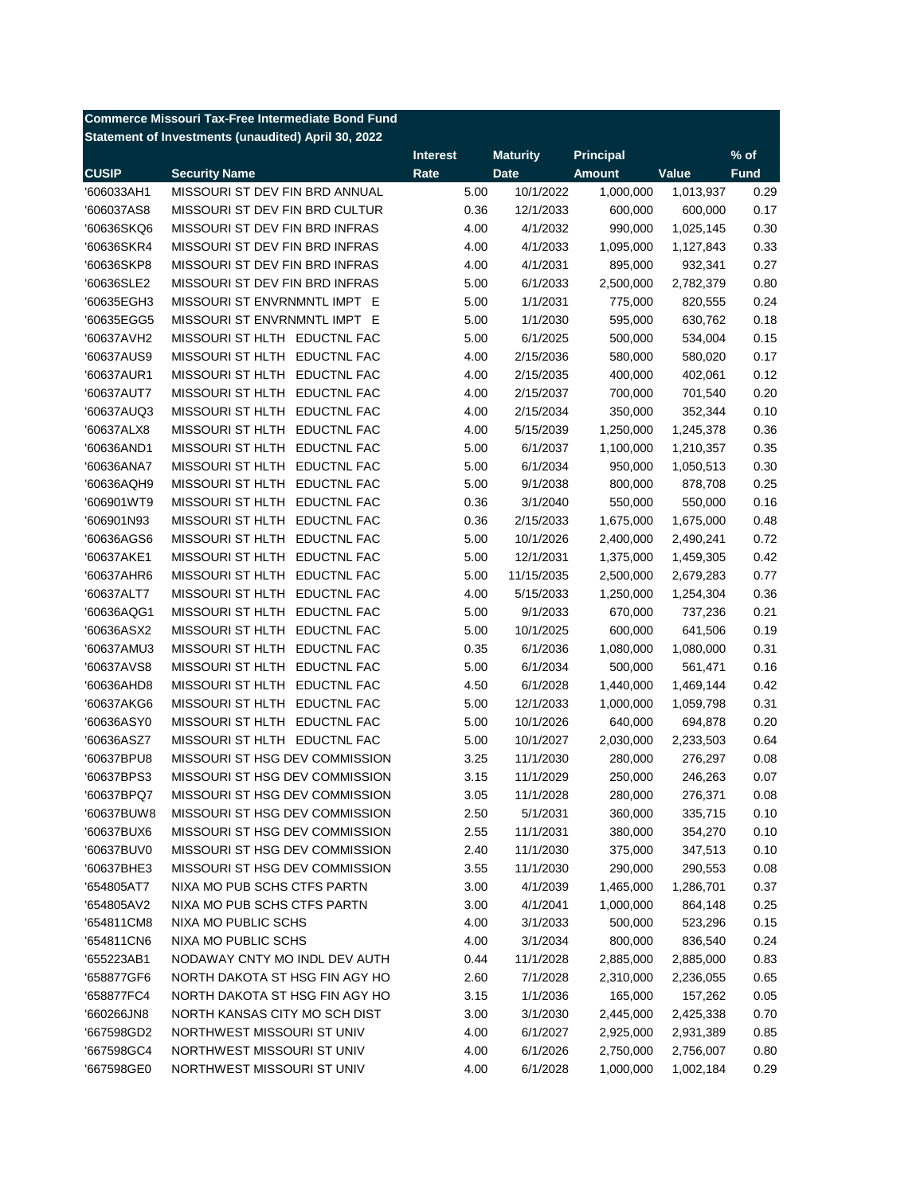|              | <b>Commerce Missouri Tax-Free Intermediate Bond Fund</b> |                 |                      |                  |           |             |
|--------------|----------------------------------------------------------|-----------------|----------------------|------------------|-----------|-------------|
|              | Statement of Investments (unaudited) April 30, 2022      |                 |                      |                  |           |             |
|              |                                                          | <b>Interest</b> | <b>Maturity</b>      | <b>Principal</b> |           | $%$ of      |
| <b>CUSIP</b> | <b>Security Name</b>                                     | Rate            | <b>Date</b>          | <b>Amount</b>    | Value     | <b>Fund</b> |
| '606033AH1   | MISSOURI ST DEV FIN BRD ANNUAL                           | 5.00            | 10/1/2022            | 1,000,000        | 1,013,937 | 0.29        |
| '606037AS8   | MISSOURI ST DEV FIN BRD CULTUR                           | 0.36            | 12/1/2033            | 600,000          | 600,000   | 0.17        |
| '60636SKQ6   | MISSOURI ST DEV FIN BRD INFRAS                           | 4.00            | 4/1/2032             | 990,000          | 1,025,145 | 0.30        |
| '60636SKR4   | MISSOURI ST DEV FIN BRD INFRAS                           | 4.00            | 4/1/2033             | 1,095,000        | 1,127,843 | 0.33        |
| '60636SKP8   | MISSOURI ST DEV FIN BRD INFRAS                           | 4.00            | 4/1/2031             | 895,000          | 932,341   | 0.27        |
| '60636SLE2   | MISSOURI ST DEV FIN BRD INFRAS                           | 5.00            | 6/1/2033             | 2,500,000        | 2,782,379 | 0.80        |
| '60635EGH3   | MISSOURI ST ENVRNMNTL IMPT E                             | 5.00            | 1/1/2031             | 775,000          | 820,555   | 0.24        |
| '60635EGG5   | MISSOURI ST ENVRNMNTL IMPT E                             | 5.00            | 1/1/2030             | 595,000          | 630,762   | 0.18        |
| '60637AVH2   | MISSOURI ST HLTH EDUCTNL FAC                             | 5.00            | 6/1/2025             | 500,000          | 534,004   | 0.15        |
| '60637AUS9   | MISSOURI ST HLTH EDUCTNL FAC                             | 4.00            | 2/15/2036            | 580,000          | 580,020   | 0.17        |
| '60637AUR1   | MISSOURI ST HLTH EDUCTNL FAC                             | 4.00            | 2/15/2035            | 400,000          | 402,061   | 0.12        |
| '60637AUT7   | MISSOURI ST HLTH EDUCTNL FAC                             | 4.00            | 2/15/2037            | 700,000          | 701,540   | 0.20        |
| '60637AUQ3   | MISSOURI ST HLTH EDUCTNL FAC                             | 4.00            | 2/15/2034            | 350,000          | 352,344   | 0.10        |
| '60637ALX8   | MISSOURI ST HLTH EDUCTNL FAC                             | 4.00            | 5/15/2039            | 1,250,000        | 1,245,378 | 0.36        |
| '60636AND1   | MISSOURI ST HLTH EDUCTNL FAC                             | 5.00            | 6/1/2037             | 1,100,000        | 1,210,357 | 0.35        |
| '60636ANA7   | <b>MISSOURI ST HLTH</b><br><b>EDUCTNL FAC</b>            | 5.00            | 6/1/2034             | 950,000          | 1,050,513 | 0.30        |
| '60636AQH9   | <b>MISSOURI ST HLTH</b><br><b>EDUCTNL FAC</b>            | 5.00            | 9/1/2038             | 800,000          | 878,708   | 0.25        |
| '606901WT9   | <b>MISSOURI ST HLTH</b><br><b>EDUCTNL FAC</b>            | 0.36            | 3/1/2040             | 550,000          | 550,000   | 0.16        |
| '606901N93   | <b>MISSOURI ST HLTH</b><br><b>EDUCTNL FAC</b>            | 0.36            | 2/15/2033            | 1,675,000        | 1,675,000 | 0.48        |
| '60636AGS6   | <b>MISSOURI ST HLTH</b><br><b>EDUCTNL FAC</b>            | 5.00            | 10/1/2026            | 2,400,000        | 2,490,241 | 0.72        |
| '60637AKE1   | <b>MISSOURI ST HLTH</b><br><b>EDUCTNL FAC</b>            | 5.00            | 12/1/2031            | 1,375,000        | 1,459,305 | 0.42        |
| '60637AHR6   | <b>MISSOURI ST HLTH</b><br><b>EDUCTNL FAC</b>            | 5.00            | 11/15/2035           | 2,500,000        | 2,679,283 | 0.77        |
| '60637ALT7   | MISSOURI ST HLTH<br><b>EDUCTNL FAC</b>                   | 4.00            | 5/15/2033            | 1,250,000        | 1,254,304 | 0.36        |
| '60636AQG1   | <b>MISSOURI ST HLTH</b><br><b>EDUCTNL FAC</b>            | 5.00            | 9/1/2033             | 670,000          | 737,236   | 0.21        |
| '60636ASX2   | MISSOURI ST HLTH<br><b>EDUCTNL FAC</b>                   | 5.00            | 10/1/2025            | 600,000          | 641,506   | 0.19        |
| '60637AMU3   | <b>MISSOURI ST HLTH</b><br><b>EDUCTNL FAC</b>            | 0.35            | 6/1/2036             | 1,080,000        | 1,080,000 | 0.31        |
| '60637AVS8   | MISSOURI ST HLTH<br><b>EDUCTNL FAC</b>                   | 5.00            | 6/1/2034             | 500,000          | 561,471   | 0.16        |
| '60636AHD8   | MISSOURI ST HLTH EDUCTNL FAC                             | 4.50            | 6/1/2028             | 1,440,000        | 1,469,144 | 0.42        |
| '60637AKG6   | MISSOURI ST HLTH EDUCTNL FAC                             | 5.00            | 12/1/2033            | 1,000,000        | 1,059,798 | 0.31        |
| '60636ASY0   | MISSOURI ST HLTH EDUCTNL FAC                             | 5.00            | 10/1/2026            | 640,000          | 694,878   | 0.20        |
| '60636ASZ7   | MISSOURI ST HLTH EDUCTNL FAC                             | 5.00            | 10/1/2027            | 2,030,000        | 2,233,503 | 0.64        |
| '60637BPU8   | MISSOURI ST HSG DEV COMMISSION                           | 3.25            | 11/1/2030            | 280,000          | 276,297   | 0.08        |
| '60637BPS3   | MISSOURI ST HSG DEV COMMISSION                           | 3.15            | 11/1/2029            | 250,000          | 246,263   | 0.07        |
| '60637BPQ7   | MISSOURI ST HSG DEV COMMISSION                           | 3.05            | 11/1/2028            | 280,000          | 276,371   | 0.08        |
| '60637BUW8   | MISSOURI ST HSG DEV COMMISSION                           | 2.50            | 5/1/2031             | 360,000          | 335,715   | 0.10        |
| '60637BUX6   | MISSOURI ST HSG DEV COMMISSION                           | 2.55            | 11/1/2031            | 380,000          | 354,270   | 0.10        |
| '60637BUV0   | MISSOURI ST HSG DEV COMMISSION                           | 2.40            | 11/1/2030            | 375,000          | 347,513   | 0.10        |
| '60637BHE3   | MISSOURI ST HSG DEV COMMISSION                           | 3.55            | 11/1/2030            | 290,000          | 290,553   | 0.08        |
| '654805AT7   | NIXA MO PUB SCHS CTFS PARTN                              | 3.00            | 4/1/2039             | 1,465,000        | 1,286,701 | 0.37        |
|              | NIXA MO PUB SCHS CTFS PARTN                              |                 |                      |                  | 864,148   |             |
| '654805AV2   | NIXA MO PUBLIC SCHS                                      | 3.00<br>4.00    | 4/1/2041<br>3/1/2033 | 1,000,000        |           | 0.25        |
| '654811CM8   |                                                          |                 |                      | 500,000          | 523,296   | 0.15        |
| '654811CN6   | NIXA MO PUBLIC SCHS                                      | 4.00            | 3/1/2034             | 800,000          | 836,540   | 0.24        |
| '655223AB1   | NODAWAY CNTY MO INDL DEV AUTH                            | 0.44            | 11/1/2028            | 2,885,000        | 2,885,000 | 0.83        |
| '658877GF6   | NORTH DAKOTA ST HSG FIN AGY HO                           | 2.60            | 7/1/2028             | 2,310,000        | 2,236,055 | 0.65        |
| '658877FC4   | NORTH DAKOTA ST HSG FIN AGY HO                           | 3.15            | 1/1/2036             | 165,000          | 157,262   | 0.05        |
| '660266JN8   | NORTH KANSAS CITY MO SCH DIST                            | 3.00            | 3/1/2030             | 2,445,000        | 2,425,338 | 0.70        |
| '667598GD2   | NORTHWEST MISSOURI ST UNIV                               | 4.00            | 6/1/2027             | 2,925,000        | 2,931,389 | 0.85        |
| '667598GC4   | NORTHWEST MISSOURI ST UNIV                               | 4.00            | 6/1/2026             | 2,750,000        | 2,756,007 | 0.80        |
| '667598GE0   | NORTHWEST MISSOURI ST UNIV                               | 4.00            | 6/1/2028             | 1,000,000        | 1,002,184 | 0.29        |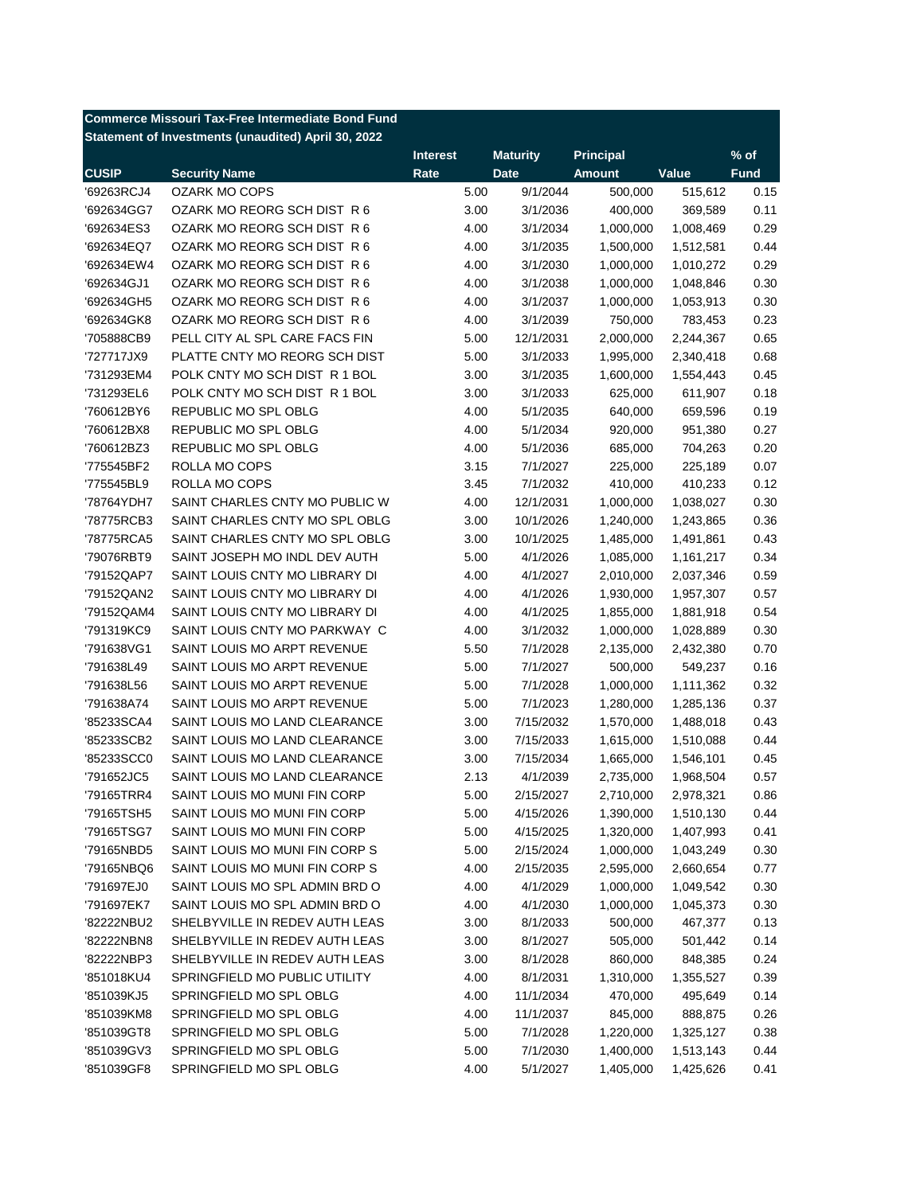|              | <b>Commerce Missouri Tax-Free Intermediate Bond Fund</b> |                 |                 |                  |           |             |
|--------------|----------------------------------------------------------|-----------------|-----------------|------------------|-----------|-------------|
|              | Statement of Investments (unaudited) April 30, 2022      |                 |                 |                  |           |             |
|              |                                                          | <b>Interest</b> | <b>Maturity</b> | <b>Principal</b> |           | $%$ of      |
| <b>CUSIP</b> | <b>Security Name</b>                                     | Rate            | <b>Date</b>     | <b>Amount</b>    | Value     | <b>Fund</b> |
| '69263RCJ4   | <b>OZARK MO COPS</b>                                     | 5.00            | 9/1/2044        | 500,000          | 515,612   | 0.15        |
| '692634GG7   | OZARK MO REORG SCH DIST R 6                              | 3.00            | 3/1/2036        | 400,000          | 369,589   | 0.11        |
| '692634ES3   | OZARK MO REORG SCH DIST R 6                              | 4.00            | 3/1/2034        | 1,000,000        | 1,008,469 | 0.29        |
| '692634EQ7   | OZARK MO REORG SCH DIST R 6                              | 4.00            | 3/1/2035        | 1,500,000        | 1,512,581 | 0.44        |
| '692634EW4   | OZARK MO REORG SCH DIST R 6                              | 4.00            | 3/1/2030        | 1,000,000        | 1,010,272 | 0.29        |
| '692634GJ1   | OZARK MO REORG SCH DIST R 6                              | 4.00            | 3/1/2038        | 1,000,000        | 1,048,846 | 0.30        |
| '692634GH5   | OZARK MO REORG SCH DIST R 6                              | 4.00            | 3/1/2037        | 1,000,000        | 1,053,913 | 0.30        |
| '692634GK8   | OZARK MO REORG SCH DIST R 6                              | 4.00            | 3/1/2039        | 750,000          | 783,453   | 0.23        |
| '705888CB9   | PELL CITY AL SPL CARE FACS FIN                           | 5.00            | 12/1/2031       | 2,000,000        | 2,244,367 | 0.65        |
| '727717JX9   | PLATTE CNTY MO REORG SCH DIST                            | 5.00            | 3/1/2033        | 1,995,000        | 2,340,418 | 0.68        |
| '731293EM4   | POLK CNTY MO SCH DIST R 1 BOL                            | 3.00            | 3/1/2035        | 1,600,000        | 1,554,443 | 0.45        |
| '731293EL6   | POLK CNTY MO SCH DIST R 1 BOL                            | 3.00            | 3/1/2033        | 625,000          | 611,907   | 0.18        |
| '760612BY6   | <b>REPUBLIC MO SPL OBLG</b>                              | 4.00            | 5/1/2035        | 640,000          | 659,596   | 0.19        |
| '760612BX8   | REPUBLIC MO SPL OBLG                                     | 4.00            | 5/1/2034        | 920,000          | 951,380   | 0.27        |
| '760612BZ3   | REPUBLIC MO SPL OBLG                                     | 4.00            | 5/1/2036        | 685,000          | 704,263   | 0.20        |
| '775545BF2   | ROLLA MO COPS                                            | 3.15            | 7/1/2027        | 225,000          | 225,189   | 0.07        |
| '775545BL9   | ROLLA MO COPS                                            | 3.45            | 7/1/2032        | 410,000          | 410,233   | 0.12        |
| '78764YDH7   | SAINT CHARLES CNTY MO PUBLIC W                           | 4.00            | 12/1/2031       | 1,000,000        | 1,038,027 | 0.30        |
| '78775RCB3   | SAINT CHARLES CNTY MO SPL OBLG                           | 3.00            | 10/1/2026       | 1,240,000        | 1,243,865 | 0.36        |
| '78775RCA5   | SAINT CHARLES CNTY MO SPL OBLG                           | 3.00            | 10/1/2025       | 1,485,000        | 1,491,861 | 0.43        |
| '79076RBT9   | SAINT JOSEPH MO INDL DEV AUTH                            | 5.00            | 4/1/2026        | 1,085,000        | 1,161,217 | 0.34        |
| '79152QAP7   | SAINT LOUIS CNTY MO LIBRARY DI                           | 4.00            | 4/1/2027        | 2,010,000        | 2,037,346 | 0.59        |
| '79152QAN2   | SAINT LOUIS CNTY MO LIBRARY DI                           | 4.00            | 4/1/2026        | 1,930,000        | 1,957,307 | 0.57        |
| '79152QAM4   | SAINT LOUIS CNTY MO LIBRARY DI                           | 4.00            | 4/1/2025        | 1,855,000        | 1,881,918 | 0.54        |
| '791319KC9   | SAINT LOUIS CNTY MO PARKWAY C                            | 4.00            | 3/1/2032        | 1,000,000        | 1,028,889 | 0.30        |
| '791638VG1   | SAINT LOUIS MO ARPT REVENUE                              | 5.50            | 7/1/2028        | 2,135,000        | 2,432,380 | 0.70        |
| '791638L49   | SAINT LOUIS MO ARPT REVENUE                              | 5.00            | 7/1/2027        | 500,000          | 549,237   | 0.16        |
| '791638L56   | SAINT LOUIS MO ARPT REVENUE                              | 5.00            | 7/1/2028        | 1,000,000        | 1,111,362 | 0.32        |
| '791638A74   | SAINT LOUIS MO ARPT REVENUE                              | 5.00            | 7/1/2023        | 1,280,000        | 1,285,136 | 0.37        |
| '85233SCA4   | SAINT LOUIS MO LAND CLEARANCE                            | 3.00            | 7/15/2032       | 1,570,000        | 1,488,018 | 0.43        |
| '85233SCB2   | SAINT LOUIS MO LAND CLEARANCE                            | 3.00            | 7/15/2033       | 1,615,000        | 1,510,088 | 0.44        |
| '85233SCC0   | SAINT LOUIS MO LAND CLEARANCE                            | 3.00            | 7/15/2034       | 1,665,000        | 1,546,101 | 0.45        |
| '791652JC5   | SAINT LOUIS MO LAND CLEARANCE                            | 2.13            | 4/1/2039        | 2,735,000        | 1,968,504 | 0.57        |
| '79165TRR4   | SAINT LOUIS MO MUNI FIN CORP                             | 5.00            | 2/15/2027       | 2,710,000        | 2,978,321 | 0.86        |
| '79165TSH5   | SAINT LOUIS MO MUNI FIN CORP                             | 5.00            | 4/15/2026       | 1,390,000        | 1,510,130 | 0.44        |
| '79165TSG7   | SAINT LOUIS MO MUNI FIN CORP                             | 5.00            | 4/15/2025       | 1,320,000        | 1,407,993 | 0.41        |
| '79165NBD5   | SAINT LOUIS MO MUNI FIN CORP S                           | 5.00            | 2/15/2024       | 1,000,000        | 1,043,249 | 0.30        |
|              | SAINT LOUIS MO MUNI FIN CORP S                           |                 | 2/15/2035       |                  |           |             |
| '79165NBQ6   |                                                          | 4.00            |                 | 2,595,000        | 2,660,654 | 0.77        |
| '791697EJ0   | SAINT LOUIS MO SPL ADMIN BRD O                           | 4.00            | 4/1/2029        | 1,000,000        | 1,049,542 | 0.30        |
| '791697EK7   | SAINT LOUIS MO SPL ADMIN BRD O                           | 4.00            | 4/1/2030        | 1,000,000        | 1,045,373 | 0.30        |
| '82222NBU2   | SHELBYVILLE IN REDEV AUTH LEAS                           | 3.00            | 8/1/2033        | 500,000          | 467,377   | 0.13        |
| '82222NBN8   | SHELBYVILLE IN REDEV AUTH LEAS                           | 3.00            | 8/1/2027        | 505,000          | 501,442   | 0.14        |
| '82222NBP3   | SHELBYVILLE IN REDEV AUTH LEAS                           | 3.00            | 8/1/2028        | 860,000          | 848,385   | 0.24        |
| '851018KU4   | SPRINGFIELD MO PUBLIC UTILITY                            | 4.00            | 8/1/2031        | 1,310,000        | 1,355,527 | 0.39        |
| '851039KJ5   | SPRINGFIELD MO SPL OBLG                                  | 4.00            | 11/1/2034       | 470,000          | 495,649   | 0.14        |
| '851039KM8   | SPRINGFIELD MO SPL OBLG                                  | 4.00            | 11/1/2037       | 845,000          | 888,875   | 0.26        |
| '851039GT8   | SPRINGFIELD MO SPL OBLG                                  | 5.00            | 7/1/2028        | 1,220,000        | 1,325,127 | 0.38        |
| '851039GV3   | SPRINGFIELD MO SPL OBLG                                  | 5.00            | 7/1/2030        | 1,400,000        | 1,513,143 | 0.44        |
| '851039GF8   | SPRINGFIELD MO SPL OBLG                                  | 4.00            | 5/1/2027        | 1,405,000        | 1,425,626 | 0.41        |